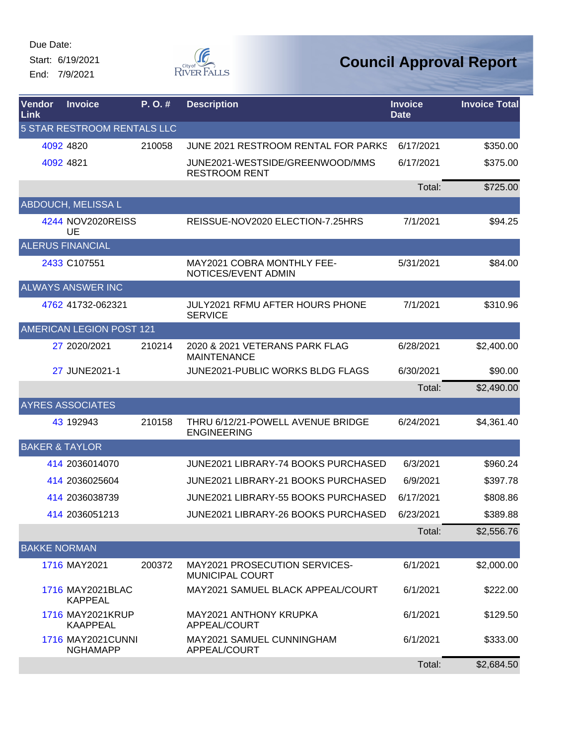Start: 6/19/2021 End: 7/9/2021



| Vendor<br>Link            | <b>Invoice</b>                              | P.O.#  | <b>Description</b>                                       | <b>Invoice</b><br><b>Date</b> | <b>Invoice Total</b> |
|---------------------------|---------------------------------------------|--------|----------------------------------------------------------|-------------------------------|----------------------|
|                           | <b>5 STAR RESTROOM RENTALS LLC</b>          |        |                                                          |                               |                      |
|                           | 4092 4820                                   | 210058 | JUNE 2021 RESTROOM RENTAL FOR PARKS                      | 6/17/2021                     | \$350.00             |
|                           | 4092 4821                                   |        | JUNE2021-WESTSIDE/GREENWOOD/MMS<br><b>RESTROOM RENT</b>  | 6/17/2021                     | \$375.00             |
|                           |                                             |        |                                                          | Total:                        | \$725.00             |
|                           | <b>ABDOUCH, MELISSA L</b>                   |        |                                                          |                               |                      |
|                           | 4244 NOV2020REISS<br>UE                     |        | REISSUE-NOV2020 ELECTION-7.25HRS                         | 7/1/2021                      | \$94.25              |
|                           | <b>ALERUS FINANCIAL</b>                     |        |                                                          |                               |                      |
|                           | 2433 C107551                                |        | MAY2021 COBRA MONTHLY FEE-<br>NOTICES/EVENT ADMIN        | 5/31/2021                     | \$84.00              |
|                           | <b>ALWAYS ANSWER INC</b>                    |        |                                                          |                               |                      |
|                           | 4762 41732-062321                           |        | <b>JULY2021 RFMU AFTER HOURS PHONE</b><br><b>SERVICE</b> | 7/1/2021                      | \$310.96             |
|                           | AMERICAN LEGION POST 121                    |        |                                                          |                               |                      |
|                           | 27 2020/2021                                | 210214 | 2020 & 2021 VETERANS PARK FLAG<br><b>MAINTENANCE</b>     | 6/28/2021                     | \$2,400.00           |
|                           | 27 JUNE2021-1                               |        | <b>JUNE2021-PUBLIC WORKS BLDG FLAGS</b>                  | 6/30/2021                     | \$90.00              |
|                           |                                             |        |                                                          | Total:                        | \$2,490.00           |
|                           | <b>AYRES ASSOCIATES</b>                     |        |                                                          |                               |                      |
|                           | 43 192943                                   | 210158 | THRU 6/12/21-POWELL AVENUE BRIDGE<br><b>ENGINEERING</b>  | 6/24/2021                     | \$4,361.40           |
| <b>BAKER &amp; TAYLOR</b> |                                             |        |                                                          |                               |                      |
|                           | 414 2036014070                              |        | <b>JUNE2021 LIBRARY-74 BOOKS PURCHASED</b>               | 6/3/2021                      | \$960.24             |
|                           | 414 2036025604                              |        | <b>JUNE2021 LIBRARY-21 BOOKS PURCHASED</b>               | 6/9/2021                      | \$397.78             |
|                           | 414 2036038739                              |        | JUNE2021 LIBRARY-55 BOOKS PURCHASED                      | 6/17/2021                     | \$808.86             |
|                           | 414 2036051213                              |        | JUNE2021 LIBRARY-26 BOOKS PURCHASED                      | 6/23/2021                     | \$389.88             |
|                           |                                             |        |                                                          | Total:                        | \$2,556.76           |
| <b>BAKKE NORMAN</b>       |                                             |        |                                                          |                               |                      |
|                           | 1716 MAY2021                                | 200372 | MAY2021 PROSECUTION SERVICES-<br><b>MUNICIPAL COURT</b>  | 6/1/2021                      | \$2,000.00           |
|                           | 1716 MAY2021BLAC<br><b>KAPPEAL</b>          |        | MAY2021 SAMUEL BLACK APPEAL/COURT                        | 6/1/2021                      | \$222.00             |
|                           | 1716 MAY2021KRUP<br><b>KAAPPEAL</b>         |        | MAY2021 ANTHONY KRUPKA<br>APPEAL/COURT                   | 6/1/2021                      | \$129.50             |
|                           | <b>1716 MAY2021CUNNI</b><br><b>NGHAMAPP</b> |        | MAY2021 SAMUEL CUNNINGHAM<br>APPEAL/COURT                | 6/1/2021                      | \$333.00             |
|                           |                                             |        |                                                          | Total:                        | \$2,684.50           |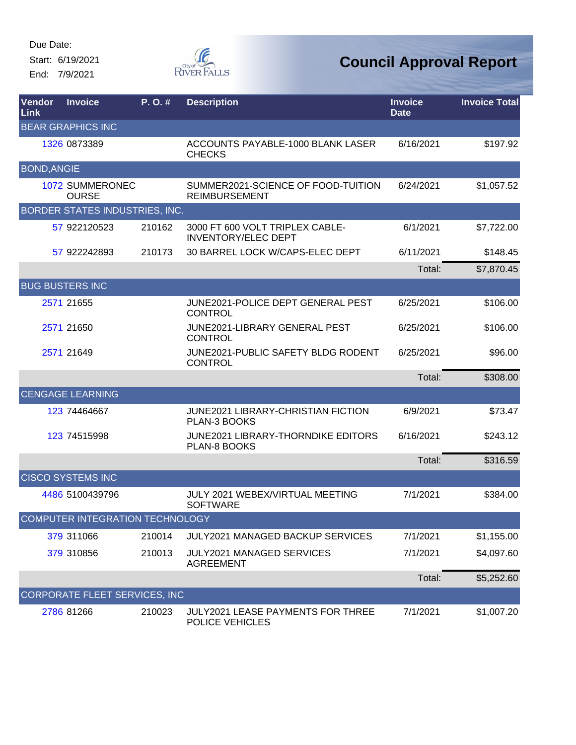Start: 6/19/2021 End: 7/9/2021



| Vendor<br>Link     | <b>Invoice</b>                  | P.O.#  | <b>Description</b>                                            | <b>Invoice</b><br><b>Date</b> | <b>Invoice Total</b> |
|--------------------|---------------------------------|--------|---------------------------------------------------------------|-------------------------------|----------------------|
|                    | <b>BEAR GRAPHICS INC</b>        |        |                                                               |                               |                      |
|                    | 1326 0873389                    |        | ACCOUNTS PAYABLE-1000 BLANK LASER<br><b>CHECKS</b>            | 6/16/2021                     | \$197.92             |
| <b>BOND, ANGIE</b> |                                 |        |                                                               |                               |                      |
|                    | 1072 SUMMERONEC<br><b>OURSE</b> |        | SUMMER2021-SCIENCE OF FOOD-TUITION<br><b>REIMBURSEMENT</b>    | 6/24/2021                     | \$1,057.52           |
|                    | BORDER STATES INDUSTRIES, INC.  |        |                                                               |                               |                      |
|                    | 57 922120523                    | 210162 | 3000 FT 600 VOLT TRIPLEX CABLE-<br><b>INVENTORY/ELEC DEPT</b> | 6/1/2021                      | \$7,722.00           |
|                    | 57 922242893                    | 210173 | 30 BARREL LOCK W/CAPS-ELEC DEPT                               | 6/11/2021                     | \$148.45             |
|                    |                                 |        |                                                               | Total:                        | \$7,870.45           |
|                    | <b>BUG BUSTERS INC</b>          |        |                                                               |                               |                      |
|                    | 2571 21655                      |        | JUNE2021-POLICE DEPT GENERAL PEST<br><b>CONTROL</b>           | 6/25/2021                     | \$106.00             |
|                    | 2571 21650                      |        | <b>JUNE2021-LIBRARY GENERAL PEST</b><br><b>CONTROL</b>        | 6/25/2021                     | \$106.00             |
|                    | 2571 21649                      |        | JUNE2021-PUBLIC SAFETY BLDG RODENT<br><b>CONTROL</b>          | 6/25/2021                     | \$96.00              |
|                    |                                 |        |                                                               | Total:                        | \$308.00             |
|                    | <b>CENGAGE LEARNING</b>         |        |                                                               |                               |                      |
|                    | 123 74464667                    |        | <b>JUNE2021 LIBRARY-CHRISTIAN FICTION</b><br>PLAN-3 BOOKS     | 6/9/2021                      | \$73.47              |
|                    | 123 74515998                    |        | <b>JUNE2021 LIBRARY-THORNDIKE EDITORS</b><br>PLAN-8 BOOKS     | 6/16/2021                     | \$243.12             |
|                    |                                 |        |                                                               | Total:                        | \$316.59             |
|                    | <b>CISCO SYSTEMS INC</b>        |        |                                                               |                               |                      |
|                    | 4486 5100439796                 |        | JULY 2021 WEBEX/VIRTUAL MEETING<br><b>SOFTWARE</b>            | 7/1/2021                      | \$384.00             |
|                    | COMPUTER INTEGRATION TECHNOLOGY |        |                                                               |                               |                      |
|                    | 379 311066                      | 210014 | JULY2021 MANAGED BACKUP SERVICES                              | 7/1/2021                      | \$1,155.00           |
|                    | 379 310856                      | 210013 | <b>JULY2021 MANAGED SERVICES</b><br><b>AGREEMENT</b>          | 7/1/2021                      | \$4,097.60           |
|                    |                                 |        |                                                               | Total:                        | \$5,252.60           |
|                    | CORPORATE FLEET SERVICES, INC   |        |                                                               |                               |                      |
|                    | 2786 81266                      | 210023 | <b>JULY2021 LEASE PAYMENTS FOR THREE</b><br>POLICE VEHICLES   | 7/1/2021                      | \$1,007.20           |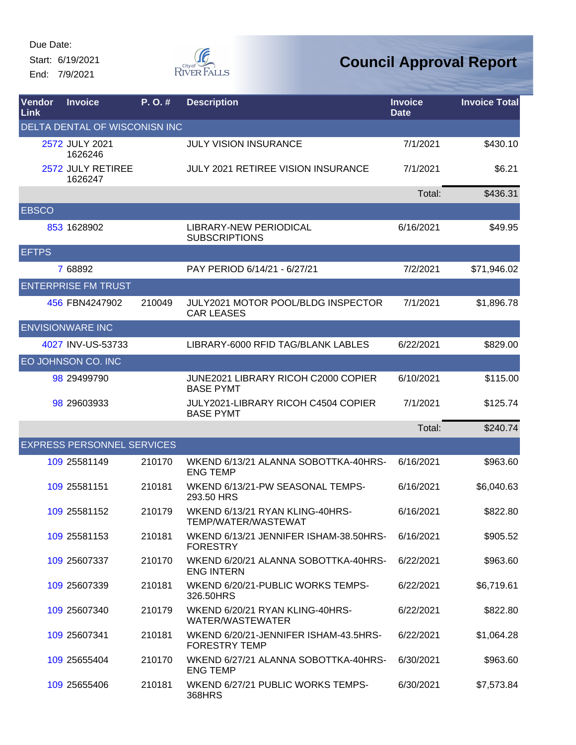Start: 6/19/2021 End: 7/9/2021



| Vendor<br>Link | <b>Invoice</b>                    | P.O.#  | <b>Description</b>                                            | <b>Invoice</b><br><b>Date</b> | <b>Invoice Total</b> |
|----------------|-----------------------------------|--------|---------------------------------------------------------------|-------------------------------|----------------------|
|                | DELTA DENTAL OF WISCONISN INC     |        |                                                               |                               |                      |
|                | 2572 JULY 2021<br>1626246         |        | <b>JULY VISION INSURANCE</b>                                  | 7/1/2021                      | \$430.10             |
|                | 2572 JULY RETIREE<br>1626247      |        | JULY 2021 RETIREE VISION INSURANCE                            | 7/1/2021                      | \$6.21               |
|                |                                   |        |                                                               | Total:                        | \$436.31             |
| <b>EBSCO</b>   |                                   |        |                                                               |                               |                      |
|                | 853 1628902                       |        | LIBRARY-NEW PERIODICAL<br><b>SUBSCRIPTIONS</b>                | 6/16/2021                     | \$49.95              |
| <b>EFTPS</b>   |                                   |        |                                                               |                               |                      |
|                | 7 68892                           |        | PAY PERIOD 6/14/21 - 6/27/21                                  | 7/2/2021                      | \$71,946.02          |
|                | <b>ENTERPRISE FM TRUST</b>        |        |                                                               |                               |                      |
|                | 456 FBN4247902                    | 210049 | JULY2021 MOTOR POOL/BLDG INSPECTOR<br><b>CAR LEASES</b>       | 7/1/2021                      | \$1,896.78           |
|                | <b>ENVISIONWARE INC</b>           |        |                                                               |                               |                      |
|                | 4027 INV-US-53733                 |        | LIBRARY-6000 RFID TAG/BLANK LABLES                            | 6/22/2021                     | \$829.00             |
|                | EO JOHNSON CO. INC                |        |                                                               |                               |                      |
|                | 98 29499790                       |        | JUNE2021 LIBRARY RICOH C2000 COPIER<br><b>BASE PYMT</b>       | 6/10/2021                     | \$115.00             |
|                | 98 29603933                       |        | JULY2021-LIBRARY RICOH C4504 COPIER<br><b>BASE PYMT</b>       | 7/1/2021                      | \$125.74             |
|                |                                   |        |                                                               | Total:                        | \$240.74             |
|                | <b>EXPRESS PERSONNEL SERVICES</b> |        |                                                               |                               |                      |
|                | 109 25581149                      | 210170 | WKEND 6/13/21 ALANNA SOBOTTKA-40HRS-<br><b>ENG TEMP</b>       | 6/16/2021                     | \$963.60             |
|                | 109 25581151                      | 210181 | WKEND 6/13/21-PW SEASONAL TEMPS-<br>293.50 HRS                | 6/16/2021                     | \$6,040.63           |
|                | 109 25581152                      | 210179 | WKEND 6/13/21 RYAN KLING-40HRS-<br>TEMP/WATER/WASTEWAT        | 6/16/2021                     | \$822.80             |
|                | 109 25581153                      | 210181 | WKEND 6/13/21 JENNIFER ISHAM-38.50HRS-<br><b>FORESTRY</b>     | 6/16/2021                     | \$905.52             |
|                | 109 25607337                      | 210170 | WKEND 6/20/21 ALANNA SOBOTTKA-40HRS-<br><b>ENG INTERN</b>     | 6/22/2021                     | \$963.60             |
|                | 109 25607339                      | 210181 | WKEND 6/20/21-PUBLIC WORKS TEMPS-<br>326.50HRS                | 6/22/2021                     | \$6,719.61           |
|                | 109 25607340                      | 210179 | WKEND 6/20/21 RYAN KLING-40HRS-<br>WATER/WASTEWATER           | 6/22/2021                     | \$822.80             |
|                | 109 25607341                      | 210181 | WKEND 6/20/21-JENNIFER ISHAM-43.5HRS-<br><b>FORESTRY TEMP</b> | 6/22/2021                     | \$1,064.28           |
|                | 109 25655404                      | 210170 | WKEND 6/27/21 ALANNA SOBOTTKA-40HRS-<br><b>ENG TEMP</b>       | 6/30/2021                     | \$963.60             |
|                | 109 25655406                      | 210181 | WKEND 6/27/21 PUBLIC WORKS TEMPS-<br>368HRS                   | 6/30/2021                     | \$7,573.84           |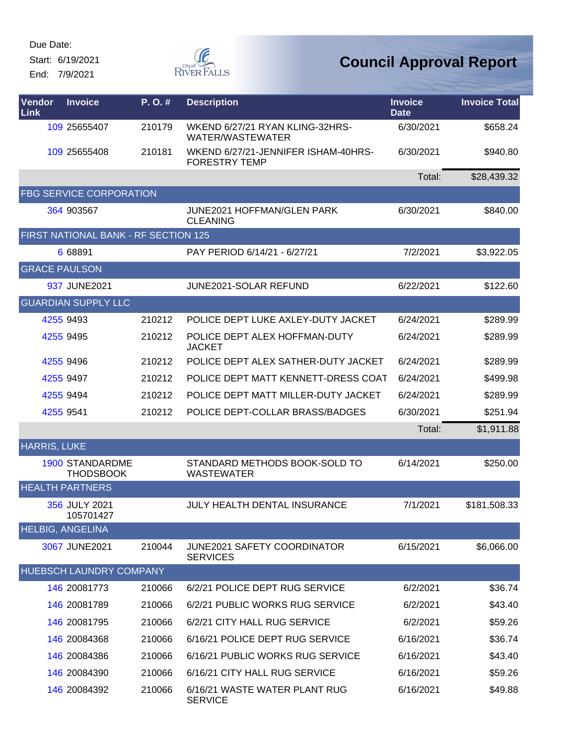Start: 6/19/2021

End: 7/9/2021



| Vendor<br>Link       | <b>Invoice</b>                             | P.O.#  | <b>Description</b>                                          | <b>Invoice</b><br><b>Date</b> | <b>Invoice Total</b> |
|----------------------|--------------------------------------------|--------|-------------------------------------------------------------|-------------------------------|----------------------|
|                      | 109 25655407                               | 210179 | WKEND 6/27/21 RYAN KLING-32HRS-<br>WATER/WASTEWATER         | 6/30/2021                     | \$658.24             |
|                      | 109 25655408                               | 210181 | WKEND 6/27/21-JENNIFER ISHAM-40HRS-<br><b>FORESTRY TEMP</b> | 6/30/2021                     | \$940.80             |
|                      |                                            |        |                                                             | Total:                        | \$28,439.32          |
|                      | <b>FBG SERVICE CORPORATION</b>             |        |                                                             |                               |                      |
|                      | 364 903567                                 |        | JUNE2021 HOFFMAN/GLEN PARK<br><b>CLEANING</b>               | 6/30/2021                     | \$840.00             |
|                      | FIRST NATIONAL BANK - RF SECTION 125       |        |                                                             |                               |                      |
|                      | 6 68891                                    |        | PAY PERIOD 6/14/21 - 6/27/21                                | 7/2/2021                      | \$3,922.05           |
| <b>GRACE PAULSON</b> |                                            |        |                                                             |                               |                      |
|                      | 937 JUNE2021                               |        | JUNE2021-SOLAR REFUND                                       | 6/22/2021                     | \$122.60             |
|                      | <b>GUARDIAN SUPPLY LLC</b>                 |        |                                                             |                               |                      |
|                      | 4255 9493                                  | 210212 | POLICE DEPT LUKE AXLEY-DUTY JACKET                          | 6/24/2021                     | \$289.99             |
|                      | 4255 9495                                  | 210212 | POLICE DEPT ALEX HOFFMAN-DUTY<br><b>JACKET</b>              | 6/24/2021                     | \$289.99             |
|                      | 4255 9496                                  | 210212 | POLICE DEPT ALEX SATHER-DUTY JACKET                         | 6/24/2021                     | \$289.99             |
|                      | 4255 9497                                  | 210212 | POLICE DEPT MATT KENNETT-DRESS COAT                         | 6/24/2021                     | \$499.98             |
|                      | 4255 9494                                  | 210212 | POLICE DEPT MATT MILLER-DUTY JACKET                         | 6/24/2021                     | \$289.99             |
|                      | 4255 9541                                  | 210212 | POLICE DEPT-COLLAR BRASS/BADGES                             | 6/30/2021                     | \$251.94             |
|                      |                                            |        |                                                             | Total:                        | \$1,911.88           |
| <b>HARRIS, LUKE</b>  |                                            |        |                                                             |                               |                      |
|                      | <b>1900 STANDARDME</b><br><b>THODSBOOK</b> |        | STANDARD METHODS BOOK-SOLD TO<br><b>WASTEWATER</b>          | 6/14/2021                     | \$250.00             |
|                      | <b>HEALTH PARTNERS</b>                     |        |                                                             |                               |                      |
|                      | 356 JULY 2021<br>105701427                 |        | <b>JULY HEALTH DENTAL INSURANCE</b>                         | 7/1/2021                      | \$181,508.33         |
|                      | <b>HELBIG, ANGELINA</b>                    |        |                                                             |                               |                      |
|                      | 3067 JUNE2021                              | 210044 | <b>JUNE2021 SAFETY COORDINATOR</b><br><b>SERVICES</b>       | 6/15/2021                     | \$6,066.00           |
|                      | HUEBSCH LAUNDRY COMPANY                    |        |                                                             |                               |                      |
|                      | 146 20081773                               | 210066 | 6/2/21 POLICE DEPT RUG SERVICE                              | 6/2/2021                      | \$36.74              |
|                      | 146 20081789                               | 210066 | 6/2/21 PUBLIC WORKS RUG SERVICE                             | 6/2/2021                      | \$43.40              |
|                      | 146 20081795                               | 210066 | 6/2/21 CITY HALL RUG SERVICE                                | 6/2/2021                      | \$59.26              |
|                      | 146 20084368                               | 210066 | 6/16/21 POLICE DEPT RUG SERVICE                             | 6/16/2021                     | \$36.74              |
|                      | 146 20084386                               | 210066 | 6/16/21 PUBLIC WORKS RUG SERVICE                            | 6/16/2021                     | \$43.40              |
|                      | 146 20084390                               | 210066 | 6/16/21 CITY HALL RUG SERVICE                               | 6/16/2021                     | \$59.26              |
|                      | 146 20084392                               | 210066 | 6/16/21 WASTE WATER PLANT RUG<br><b>SERVICE</b>             | 6/16/2021                     | \$49.88              |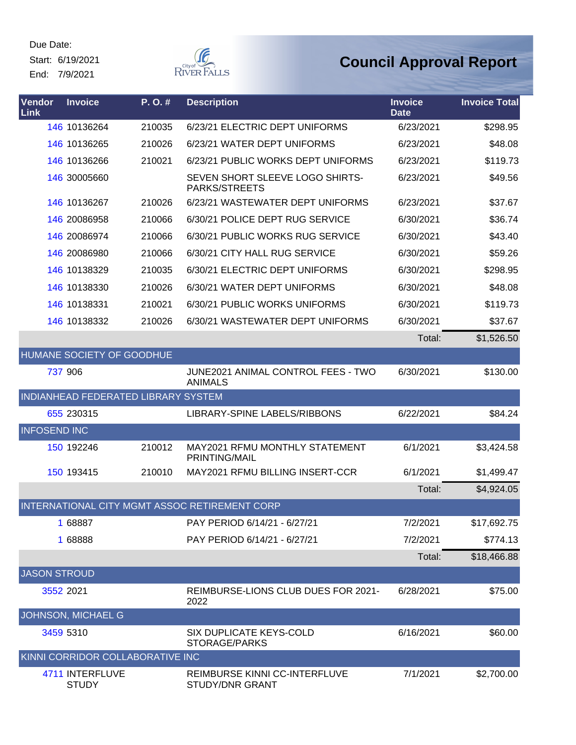Start: 6/19/2021 End: 7/9/2021

**G** RIVER FALLS

| Vendor<br>Link      | <b>Invoice</b>                      | P.O.#  | <b>Description</b>                                     | <b>Invoice</b><br><b>Date</b> | <b>Invoice Total</b> |
|---------------------|-------------------------------------|--------|--------------------------------------------------------|-------------------------------|----------------------|
|                     | 146 10136264                        | 210035 | 6/23/21 ELECTRIC DEPT UNIFORMS                         | 6/23/2021                     | \$298.95             |
|                     | 146 10136265                        | 210026 | 6/23/21 WATER DEPT UNIFORMS                            | 6/23/2021                     | \$48.08              |
|                     | 146 10136266                        | 210021 | 6/23/21 PUBLIC WORKS DEPT UNIFORMS                     | 6/23/2021                     | \$119.73             |
|                     | 146 30005660                        |        | SEVEN SHORT SLEEVE LOGO SHIRTS-<br>PARKS/STREETS       | 6/23/2021                     | \$49.56              |
|                     | 146 10136267                        | 210026 | 6/23/21 WASTEWATER DEPT UNIFORMS                       | 6/23/2021                     | \$37.67              |
|                     | 146 20086958                        | 210066 | 6/30/21 POLICE DEPT RUG SERVICE                        | 6/30/2021                     | \$36.74              |
|                     | 146 20086974                        | 210066 | 6/30/21 PUBLIC WORKS RUG SERVICE                       | 6/30/2021                     | \$43.40              |
|                     | 146 20086980                        | 210066 | 6/30/21 CITY HALL RUG SERVICE                          | 6/30/2021                     | \$59.26              |
|                     | 146 10138329                        | 210035 | 6/30/21 ELECTRIC DEPT UNIFORMS                         | 6/30/2021                     | \$298.95             |
|                     | 146 10138330                        | 210026 | 6/30/21 WATER DEPT UNIFORMS                            | 6/30/2021                     | \$48.08              |
|                     | 146 10138331                        | 210021 | 6/30/21 PUBLIC WORKS UNIFORMS                          | 6/30/2021                     | \$119.73             |
|                     | 146 10138332                        | 210026 | 6/30/21 WASTEWATER DEPT UNIFORMS                       | 6/30/2021                     | \$37.67              |
|                     |                                     |        |                                                        | Total:                        | \$1,526.50           |
|                     | <b>HUMANE SOCIETY OF GOODHUE</b>    |        |                                                        |                               |                      |
|                     | 737 906                             |        | JUNE2021 ANIMAL CONTROL FEES - TWO<br><b>ANIMALS</b>   | 6/30/2021                     | \$130.00             |
|                     | INDIANHEAD FEDERATED LIBRARY SYSTEM |        |                                                        |                               |                      |
|                     | 655 230315                          |        | LIBRARY-SPINE LABELS/RIBBONS                           | 6/22/2021                     | \$84.24              |
| <b>INFOSEND INC</b> |                                     |        |                                                        |                               |                      |
|                     | 150 192246                          | 210012 | MAY2021 RFMU MONTHLY STATEMENT<br><b>PRINTING/MAIL</b> | 6/1/2021                      | \$3,424.58           |
|                     | 150 193415                          | 210010 | MAY2021 RFMU BILLING INSERT-CCR                        | 6/1/2021                      | \$1,499.47           |
|                     |                                     |        |                                                        | Total:                        | \$4,924.05           |
|                     |                                     |        | INTERNATIONAL CITY MGMT ASSOC RETIREMENT CORP          |                               |                      |
|                     | 1 68887                             |        | PAY PERIOD 6/14/21 - 6/27/21                           | 7/2/2021                      | \$17,692.75          |
|                     | 1 68888                             |        | PAY PERIOD 6/14/21 - 6/27/21                           | 7/2/2021                      | \$774.13             |
|                     |                                     |        |                                                        | Total:                        | \$18,466.88          |
| <b>JASON STROUD</b> |                                     |        |                                                        |                               |                      |
|                     | 3552 2021                           |        | REIMBURSE-LIONS CLUB DUES FOR 2021-<br>2022            | 6/28/2021                     | \$75.00              |
|                     | JOHNSON, MICHAEL G                  |        |                                                        |                               |                      |
|                     | 3459 5310                           |        | SIX DUPLICATE KEYS-COLD<br>STORAGE/PARKS               | 6/16/2021                     | \$60.00              |
|                     | KINNI CORRIDOR COLLABORATIVE INC    |        |                                                        |                               |                      |
|                     | 4711 INTERFLUVE<br><b>STUDY</b>     |        | REIMBURSE KINNI CC-INTERFLUVE<br>STUDY/DNR GRANT       | 7/1/2021                      | \$2,700.00           |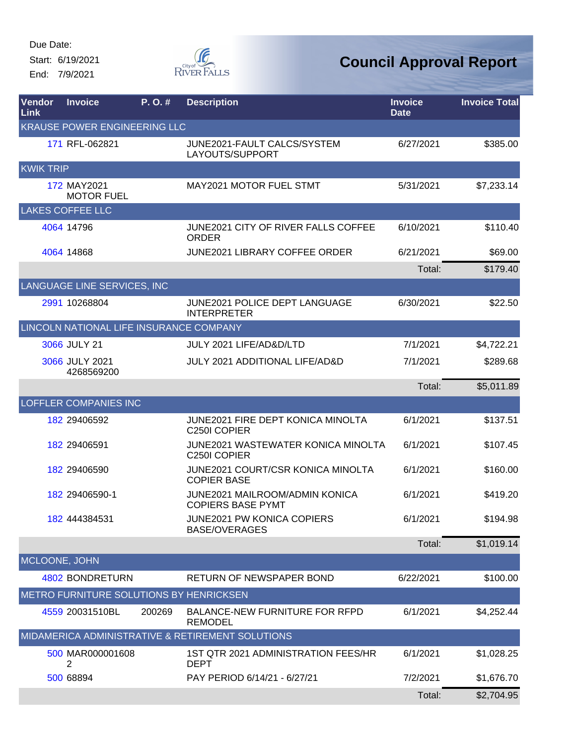Start: 6/19/2021 End: 7/9/2021



| Vendor<br>Link   | <b>Invoice</b>                          | P.O.#  | <b>Description</b>                                                | <b>Invoice</b><br><b>Date</b> | <b>Invoice Total</b> |
|------------------|-----------------------------------------|--------|-------------------------------------------------------------------|-------------------------------|----------------------|
|                  | <b>KRAUSE POWER ENGINEERING LLC</b>     |        |                                                                   |                               |                      |
|                  | 171 RFL-062821                          |        | JUNE2021-FAULT CALCS/SYSTEM<br>LAYOUTS/SUPPORT                    | 6/27/2021                     | \$385.00             |
| <b>KWIK TRIP</b> |                                         |        |                                                                   |                               |                      |
|                  | 172 MAY2021<br><b>MOTOR FUEL</b>        |        | <b>MAY2021 MOTOR FUEL STMT</b>                                    | 5/31/2021                     | \$7,233.14           |
|                  | <b>LAKES COFFEE LLC</b>                 |        |                                                                   |                               |                      |
|                  | 4064 14796                              |        | <b>JUNE2021 CITY OF RIVER FALLS COFFEE</b><br><b>ORDER</b>        | 6/10/2021                     | \$110.40             |
|                  | 4064 14868                              |        | <b>JUNE2021 LIBRARY COFFEE ORDER</b>                              | 6/21/2021                     | \$69.00              |
|                  |                                         |        |                                                                   | Total:                        | \$179.40             |
|                  | LANGUAGE LINE SERVICES, INC             |        |                                                                   |                               |                      |
|                  | 2991 10268804                           |        | JUNE2021 POLICE DEPT LANGUAGE<br><b>INTERPRETER</b>               | 6/30/2021                     | \$22.50              |
|                  | LINCOLN NATIONAL LIFE INSURANCE COMPANY |        |                                                                   |                               |                      |
|                  | 3066 JULY 21                            |        | JULY 2021 LIFE/AD&D/LTD                                           | 7/1/2021                      | \$4,722.21           |
|                  | 3066 JULY 2021<br>4268569200            |        | <b>JULY 2021 ADDITIONAL LIFE/AD&amp;D</b>                         | 7/1/2021                      | \$289.68             |
|                  |                                         |        |                                                                   | Total:                        | \$5,011.89           |
|                  | <b>LOFFLER COMPANIES INC</b>            |        |                                                                   |                               |                      |
|                  | 182 29406592                            |        | <b>JUNE2021 FIRE DEPT KONICA MINOLTA</b><br>C250I COPIER          | 6/1/2021                      | \$137.51             |
|                  | 182 29406591                            |        | <b>JUNE2021 WASTEWATER KONICA MINOLTA</b><br>C250I COPIER         | 6/1/2021                      | \$107.45             |
|                  | 182 29406590                            |        | JUNE2021 COURT/CSR KONICA MINOLTA<br><b>COPIER BASE</b>           | 6/1/2021                      | \$160.00             |
|                  | 182 29406590-1                          |        | <b>JUNE2021 MAILROOM/ADMIN KONICA</b><br><b>COPIERS BASE PYMT</b> | 6/1/2021                      | \$419.20             |
|                  | 182 444384531                           |        | JUNE2021 PW KONICA COPIERS<br><b>BASE/OVERAGES</b>                | 6/1/2021                      | \$194.98             |
|                  |                                         |        |                                                                   | Total:                        | \$1,019.14           |
| MCLOONE, JOHN    |                                         |        |                                                                   |                               |                      |
|                  | 4802 BONDRETURN                         |        | <b>RETURN OF NEWSPAPER BOND</b>                                   | 6/22/2021                     | \$100.00             |
|                  | METRO FURNITURE SOLUTIONS BY HENRICKSEN |        |                                                                   |                               |                      |
|                  | 4559 20031510BL                         | 200269 | BALANCE-NEW FURNITURE FOR RFPD<br><b>REMODEL</b>                  | 6/1/2021                      | \$4,252.44           |
|                  |                                         |        | MIDAMERICA ADMINISTRATIVE & RETIREMENT SOLUTIONS                  |                               |                      |
|                  | 500 MAR000001608<br>2                   |        | 1ST QTR 2021 ADMINISTRATION FEES/HR<br><b>DEPT</b>                | 6/1/2021                      | \$1,028.25           |
|                  | 500 68894                               |        | PAY PERIOD 6/14/21 - 6/27/21                                      | 7/2/2021                      | \$1,676.70           |
|                  |                                         |        |                                                                   | Total:                        | \$2,704.95           |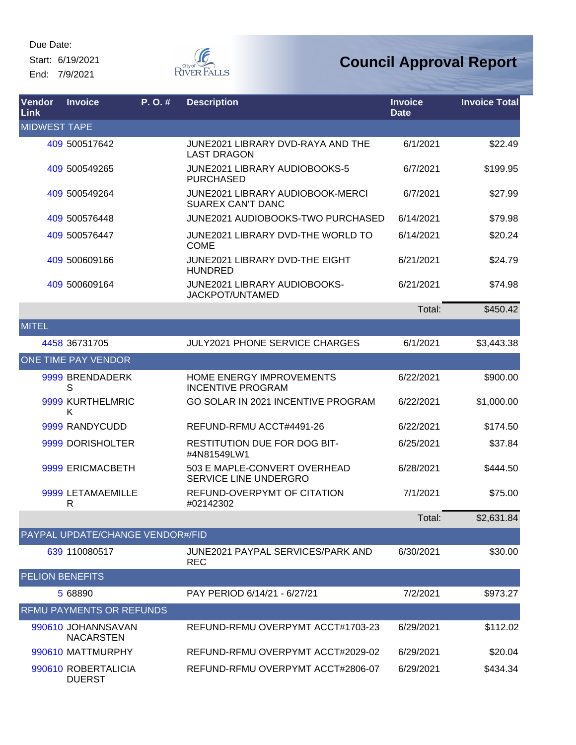Start: 6/19/2021 End: 7/9/2021

DUERST



| Vendor<br><b>Link</b>  | <b>Invoice</b>                         | P.O.# | <b>Description</b>                                           | <b>Invoice</b><br><b>Date</b> | <b>Invoice Total</b> |
|------------------------|----------------------------------------|-------|--------------------------------------------------------------|-------------------------------|----------------------|
| <b>MIDWEST TAPE</b>    |                                        |       |                                                              |                               |                      |
|                        | 409 500517642                          |       | JUNE2021 LIBRARY DVD-RAYA AND THE<br><b>LAST DRAGON</b>      | 6/1/2021                      | \$22.49              |
|                        | 409 500549265                          |       | JUNE2021 LIBRARY AUDIOBOOKS-5<br><b>PURCHASED</b>            | 6/7/2021                      | \$199.95             |
|                        | 409 500549264                          |       | JUNE2021 LIBRARY AUDIOBOOK-MERCI<br><b>SUAREX CAN'T DANC</b> | 6/7/2021                      | \$27.99              |
|                        | 409 500576448                          |       | JUNE2021 AUDIOBOOKS-TWO PURCHASED                            | 6/14/2021                     | \$79.98              |
|                        | 409 500576447                          |       | JUNE2021 LIBRARY DVD-THE WORLD TO<br><b>COME</b>             | 6/14/2021                     | \$20.24              |
|                        | 409 500609166                          |       | <b>JUNE2021 LIBRARY DVD-THE EIGHT</b><br><b>HUNDRED</b>      | 6/21/2021                     | \$24.79              |
|                        | 409 500609164                          |       | <b>JUNE2021 LIBRARY AUDIOBOOKS-</b><br>JACKPOT/UNTAMED       | 6/21/2021                     | \$74.98              |
|                        |                                        |       |                                                              | Total:                        | \$450.42             |
| <b>MITEL</b>           |                                        |       |                                                              |                               |                      |
|                        | 4458 36731705                          |       | <b>JULY2021 PHONE SERVICE CHARGES</b>                        | 6/1/2021                      | \$3,443.38           |
|                        | ONE TIME PAY VENDOR                    |       |                                                              |                               |                      |
|                        | 9999 BRENDADERK<br>S                   |       | HOME ENERGY IMPROVEMENTS<br><b>INCENTIVE PROGRAM</b>         | 6/22/2021                     | \$900.00             |
|                        | 9999 KURTHELMRIC<br>K                  |       | GO SOLAR IN 2021 INCENTIVE PROGRAM                           | 6/22/2021                     | \$1,000.00           |
|                        | 9999 RANDYCUDD                         |       | REFUND-RFMU ACCT#4491-26                                     | 6/22/2021                     | \$174.50             |
|                        | 9999 DORISHOLTER                       |       | <b>RESTITUTION DUE FOR DOG BIT-</b><br>#4N81549LW1           | 6/25/2021                     | \$37.84              |
|                        | 9999 ERICMACBETH                       |       | 503 E MAPLE-CONVERT OVERHEAD<br>SERVICE LINE UNDERGRO        | 6/28/2021                     | \$444.50             |
|                        | 9999 LETAMAEMILLE<br>R                 |       | REFUND-OVERPYMT OF CITATION<br>#02142302                     | 7/1/2021                      | \$75.00              |
|                        |                                        |       |                                                              | Total:                        | \$2,631.84           |
|                        | PAYPAL UPDATE/CHANGE VENDOR#/FID       |       |                                                              |                               |                      |
|                        | 639 110080517                          |       | JUNE2021 PAYPAL SERVICES/PARK AND<br><b>REC</b>              | 6/30/2021                     | \$30.00              |
| <b>PELION BENEFITS</b> |                                        |       |                                                              |                               |                      |
|                        | 5 68890                                |       | PAY PERIOD 6/14/21 - 6/27/21                                 | 7/2/2021                      | \$973.27             |
|                        | RFMU PAYMENTS OR REFUNDS               |       |                                                              |                               |                      |
|                        | 990610 JOHANNSAVAN<br><b>NACARSTEN</b> |       | REFUND-RFMU OVERPYMT ACCT#1703-23                            | 6/29/2021                     | \$112.02             |
|                        | 990610 MATTMURPHY                      |       | REFUND-RFMU OVERPYMT ACCT#2029-02                            | 6/29/2021                     | \$20.04              |
|                        | 990610 ROBERTALICIA                    |       | REFUND-RFMU OVERPYMT ACCT#2806-07                            | 6/29/2021                     | \$434.34             |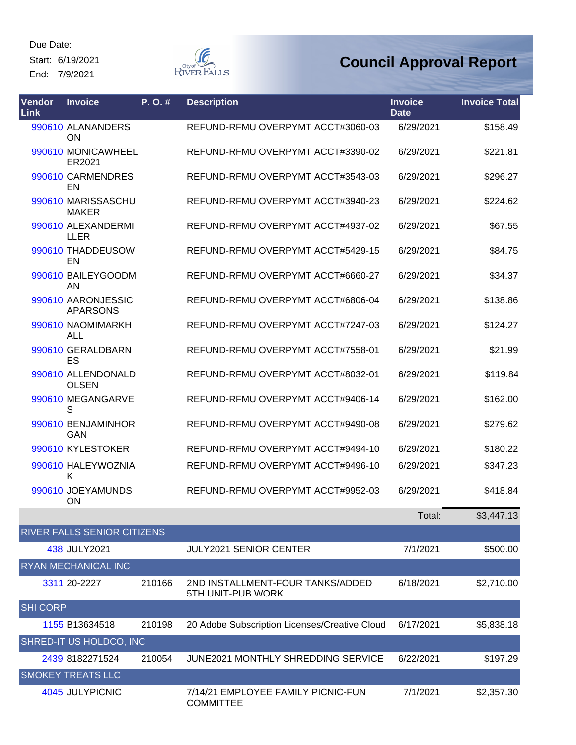Start: 6/19/2021 End: 7/9/2021

**F** RIVER FALLS

| Vendor<br><b>Link</b> | <b>Invoice</b>                        | P. O. # | <b>Description</b>                                     | <b>Invoice</b><br><b>Date</b> | <b>Invoice Total</b> |
|-----------------------|---------------------------------------|---------|--------------------------------------------------------|-------------------------------|----------------------|
|                       | 990610 ALANANDERS<br>ON               |         | REFUND-RFMU OVERPYMT ACCT#3060-03                      | 6/29/2021                     | \$158.49             |
|                       | 990610 MONICAWHEEL<br>ER2021          |         | REFUND-RFMU OVERPYMT ACCT#3390-02                      | 6/29/2021                     | \$221.81             |
|                       | 990610 CARMENDRES<br>EN               |         | REFUND-RFMU OVERPYMT ACCT#3543-03                      | 6/29/2021                     | \$296.27             |
|                       | 990610 MARISSASCHU<br><b>MAKER</b>    |         | REFUND-RFMU OVERPYMT ACCT#3940-23                      | 6/29/2021                     | \$224.62             |
|                       | 990610 ALEXANDERMI<br><b>LLER</b>     |         | REFUND-RFMU OVERPYMT ACCT#4937-02                      | 6/29/2021                     | \$67.55              |
|                       | 990610 THADDEUSOW<br>EN               |         | REFUND-RFMU OVERPYMT ACCT#5429-15                      | 6/29/2021                     | \$84.75              |
|                       | 990610 BAILEYGOODM<br>AN              |         | REFUND-RFMU OVERPYMT ACCT#6660-27                      | 6/29/2021                     | \$34.37              |
|                       | 990610 AARONJESSIC<br><b>APARSONS</b> |         | REFUND-RFMU OVERPYMT ACCT#6806-04                      | 6/29/2021                     | \$138.86             |
|                       | 990610 NAOMIMARKH<br><b>ALL</b>       |         | REFUND-RFMU OVERPYMT ACCT#7247-03                      | 6/29/2021                     | \$124.27             |
|                       | 990610 GERALDBARN<br>ES               |         | REFUND-RFMU OVERPYMT ACCT#7558-01                      | 6/29/2021                     | \$21.99              |
|                       | 990610 ALLENDONALD<br><b>OLSEN</b>    |         | REFUND-RFMU OVERPYMT ACCT#8032-01                      | 6/29/2021                     | \$119.84             |
|                       | 990610 MEGANGARVE<br>S                |         | REFUND-RFMU OVERPYMT ACCT#9406-14                      | 6/29/2021                     | \$162.00             |
|                       | 990610 BENJAMINHOR<br>GAN             |         | REFUND-RFMU OVERPYMT ACCT#9490-08                      | 6/29/2021                     | \$279.62             |
|                       | 990610 KYLESTOKER                     |         | REFUND-RFMU OVERPYMT ACCT#9494-10                      | 6/29/2021                     | \$180.22             |
|                       | 990610 HALEYWOZNIA<br>K               |         | REFUND-RFMU OVERPYMT ACCT#9496-10                      | 6/29/2021                     | \$347.23             |
|                       | 990610 JOEYAMUNDS<br>ON               |         | REFUND-RFMU OVERPYMT ACCT#9952-03                      | 6/29/2021                     | \$418.84             |
|                       |                                       |         |                                                        | Total:                        | \$3,447.13           |
|                       | RIVER FALLS SENIOR CITIZENS           |         |                                                        |                               |                      |
|                       | 438 JULY2021                          |         | <b>JULY2021 SENIOR CENTER</b>                          | 7/1/2021                      | \$500.00             |
|                       | RYAN MECHANICAL INC                   |         |                                                        |                               |                      |
|                       | 3311 20-2227                          | 210166  | 2ND INSTALLMENT-FOUR TANKS/ADDED<br>5TH UNIT-PUB WORK  | 6/18/2021                     | \$2,710.00           |
| <b>SHI CORP</b>       |                                       |         |                                                        |                               |                      |
|                       | 1155 B13634518                        | 210198  | 20 Adobe Subscription Licenses/Creative Cloud          | 6/17/2021                     | \$5,838.18           |
|                       | SHRED-IT US HOLDCO, INC               |         |                                                        |                               |                      |
|                       | 2439 8182271524                       | 210054  | <b>JUNE2021 MONTHLY SHREDDING SERVICE</b>              | 6/22/2021                     | \$197.29             |
|                       | <b>SMOKEY TREATS LLC</b>              |         |                                                        |                               |                      |
|                       | 4045 JULYPICNIC                       |         | 7/14/21 EMPLOYEE FAMILY PICNIC-FUN<br><b>COMMITTEE</b> | 7/1/2021                      | \$2,357.30           |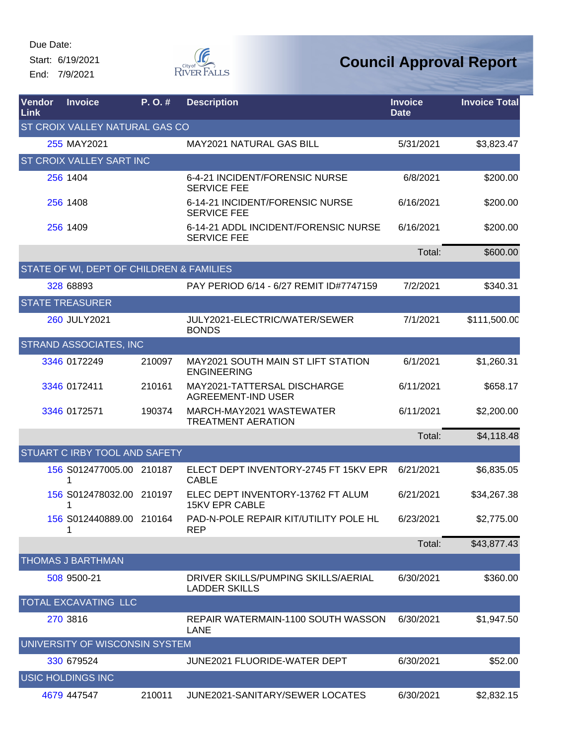Start: 6/19/2021 End: 7/9/2021



| Vendor<br><b>Link</b> | <b>Invoice</b>                           | P.O.#  | <b>Description</b>                                          | <b>Invoice</b><br><b>Date</b> | <b>Invoice Total</b> |
|-----------------------|------------------------------------------|--------|-------------------------------------------------------------|-------------------------------|----------------------|
|                       | <b>ST CROIX VALLEY NATURAL GAS CO</b>    |        |                                                             |                               |                      |
|                       | 255 MAY2021                              |        | <b>MAY2021 NATURAL GAS BILL</b>                             | 5/31/2021                     | \$3,823.47           |
|                       | <b>ST CROIX VALLEY SART INC</b>          |        |                                                             |                               |                      |
|                       | 256 1404                                 |        | 6-4-21 INCIDENT/FORENSIC NURSE<br><b>SERVICE FEE</b>        | 6/8/2021                      | \$200.00             |
|                       | 256 1408                                 |        | 6-14-21 INCIDENT/FORENSIC NURSE<br><b>SERVICE FEE</b>       | 6/16/2021                     | \$200.00             |
|                       | 256 1409                                 |        | 6-14-21 ADDL INCIDENT/FORENSIC NURSE<br><b>SERVICE FEE</b>  | 6/16/2021                     | \$200.00             |
|                       |                                          |        |                                                             | Total:                        | \$600.00             |
|                       | STATE OF WI, DEPT OF CHILDREN & FAMILIES |        |                                                             |                               |                      |
|                       | 328 68893                                |        | PAY PERIOD 6/14 - 6/27 REMIT ID#7747159                     | 7/2/2021                      | \$340.31             |
|                       | <b>STATE TREASURER</b>                   |        |                                                             |                               |                      |
|                       | 260 JULY2021                             |        | JULY2021-ELECTRIC/WATER/SEWER<br><b>BONDS</b>               | 7/1/2021                      | \$111,500.00         |
|                       | <b>STRAND ASSOCIATES, INC</b>            |        |                                                             |                               |                      |
|                       | 3346 0172249                             | 210097 | MAY2021 SOUTH MAIN ST LIFT STATION<br><b>ENGINEERING</b>    | 6/1/2021                      | \$1,260.31           |
|                       | 3346 0172411                             | 210161 | MAY2021-TATTERSAL DISCHARGE<br><b>AGREEMENT-IND USER</b>    | 6/11/2021                     | \$658.17             |
|                       | 3346 0172571                             | 190374 | MARCH-MAY2021 WASTEWATER<br><b>TREATMENT AERATION</b>       | 6/11/2021                     | \$2,200.00           |
|                       |                                          |        |                                                             | Total:                        | \$4,118.48           |
|                       | <b>STUART C IRBY TOOL AND SAFETY</b>     |        |                                                             |                               |                      |
|                       | 156 S012477005.00 210187<br>1            |        | ELECT DEPT INVENTORY-2745 FT 15KV EPR<br><b>CABLE</b>       | 6/21/2021                     | \$6,835.05           |
|                       | 156 S012478032.00 210197<br>1            |        | ELEC DEPT INVENTORY-13762 FT ALUM<br><b>15KV EPR CABLE</b>  | 6/21/2021                     | \$34,267.38          |
|                       | 156 S012440889.00 210164                 |        | PAD-N-POLE REPAIR KIT/UTILITY POLE HL<br><b>REP</b>         | 6/23/2021                     | \$2,775.00           |
|                       |                                          |        |                                                             | Total:                        | \$43,877.43          |
|                       | <b>THOMAS J BARTHMAN</b>                 |        |                                                             |                               |                      |
|                       | 508 9500-21                              |        | DRIVER SKILLS/PUMPING SKILLS/AERIAL<br><b>LADDER SKILLS</b> | 6/30/2021                     | \$360.00             |
|                       | <b>TOTAL EXCAVATING LLC</b>              |        |                                                             |                               |                      |
|                       | 270 3816                                 |        | REPAIR WATERMAIN-1100 SOUTH WASSON<br>LANE                  | 6/30/2021                     | \$1,947.50           |
|                       | UNIVERSITY OF WISCONSIN SYSTEM           |        |                                                             |                               |                      |
|                       | 330 679524                               |        | <b>JUNE2021 FLUORIDE-WATER DEPT</b>                         | 6/30/2021                     | \$52.00              |
|                       | <b>USIC HOLDINGS INC</b>                 |        |                                                             |                               |                      |
|                       | 4679 447547                              | 210011 | JUNE2021-SANITARY/SEWER LOCATES                             | 6/30/2021                     | \$2,832.15           |